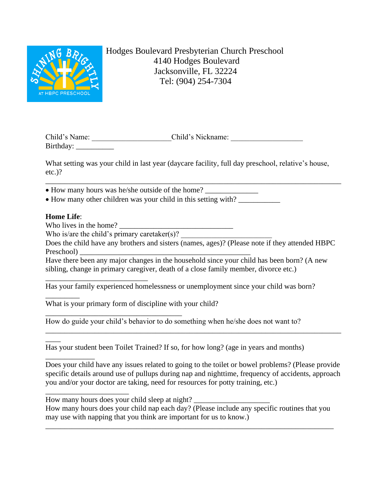

Hodges Boulevard Presbyterian Church Preschool 4140 Hodges Boulevard Jacksonville, FL 32224 Tel: (904) 254-7304

| Child's Name: | Child's Nickname: |  |
|---------------|-------------------|--|
| Birthday:     |                   |  |

What setting was your child in last year (daycare facility, full day preschool, relative's house, etc.)?

\_\_\_\_\_\_\_\_\_\_\_\_\_\_\_\_\_\_\_\_\_\_\_\_\_\_\_\_\_\_\_\_\_\_\_\_\_\_\_\_\_\_\_\_\_\_\_\_\_\_\_\_\_\_\_\_\_\_\_\_\_\_\_\_\_\_\_\_\_\_\_\_\_\_\_\_\_\_ • How many hours was he/she outside of the home?

• How many other children was your child in this setting with?

## **Home Life**:

\_\_\_\_\_\_\_\_\_

 $\overline{\phantom{a}}$ 

\_\_\_\_\_\_\_\_\_\_\_\_\_\_\_\_\_\_\_\_\_\_

 $\overline{\phantom{a}}$ 

Who lives in the home?

Who is/are the child's primary caretaker $(s)$ ?

\_\_\_\_\_\_\_\_\_\_\_\_\_\_\_\_\_\_\_\_\_\_\_\_\_\_\_\_\_\_\_\_\_\_\_\_

\_\_\_\_\_\_\_\_\_\_\_\_\_\_\_\_\_\_\_\_\_\_\_\_\_\_\_

Does the child have any brothers and sisters (names, ages)? (Please note if they attended HBPC Preschool)

Have there been any major changes in the household since your child has been born? (A new sibling, change in primary caregiver, death of a close family member, divorce etc.)

Has your family experienced homelessness or unemployment since your child was born?

What is your primary form of discipline with your child?

How do guide your child's behavior to do something when he/she does not want to?

Has your student been Toilet Trained? If so, for how long? (age in years and months)

Does your child have any issues related to going to the toilet or bowel problems? (Please provide specific details around use of pullups during nap and nighttime, frequency of accidents, approach you and/or your doctor are taking, need for resources for potty training, etc.)

\_\_\_\_\_\_\_\_\_\_\_\_\_\_\_\_\_\_\_\_\_\_\_\_\_\_\_\_\_\_\_\_\_\_\_\_\_\_\_\_\_\_\_\_\_\_\_\_\_\_\_\_\_\_\_\_\_\_\_\_\_\_\_\_\_\_\_\_\_\_\_\_\_\_\_\_\_\_

How many hours does your child sleep at night?

How many hours does your child nap each day? (Please include any specific routines that you may use with napping that you think are important for us to know.)

\_\_\_\_\_\_\_\_\_\_\_\_\_\_\_\_\_\_\_\_\_\_\_\_\_\_\_\_\_\_\_\_\_\_\_\_\_\_\_\_\_\_\_\_\_\_\_\_\_\_\_\_\_\_\_\_\_\_\_\_\_\_\_\_\_\_\_\_\_\_\_\_\_\_\_\_